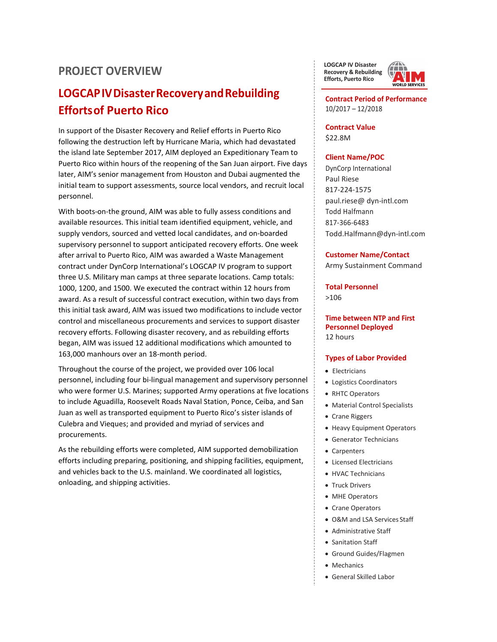## **PROJECT OVERVIEW**

# **LOGCAPIVDisasterRecoveryandRebuilding Effortsof Puerto Rico**

In support of the Disaster Recovery and Relief efforts in Puerto Rico following the destruction left by Hurricane Maria, which had devastated the island late September 2017, AIM deployed an Expeditionary Team to Puerto Rico within hours of the reopening of the San Juan airport. Five days later, AIM's senior management from Houston and Dubai augmented the initial team to support assessments, source local vendors, and recruit local personnel.

With boots-on-the ground, AIM was able to fully assess conditions and available resources. This initial team identified equipment, vehicle, and supply vendors, sourced and vetted local candidates, and on-boarded supervisory personnel to support anticipated recovery efforts. One week after arrival to Puerto Rico, AIM was awarded a Waste Management contract under DynCorp International's LOGCAP IV program to support three U.S. Military man camps at three separate locations. Camp totals: 1000, 1200, and 1500. We executed the contract within 12 hours from award. As a result of successful contract execution, within two days from this initial task award, AIM was issued two modifications to include vector control and miscellaneous procurements and services to support disaster recovery efforts. Following disaster recovery, and as rebuilding efforts began, AIM was issued 12 additional modifications which amounted to 163,000 manhours over an 18-month period.

Throughout the course of the project, we provided over 106 local personnel, including four bi-lingual management and supervisory personnel who were former U.S. Marines; supported Army operations at five locations to include Aguadilla, Roosevelt Roads Naval Station, Ponce, Ceiba, and San Juan as well as transported equipment to Puerto Rico's sister islands of Culebra and Vieques; and provided and myriad of services and procurements.

As the rebuilding efforts were completed, AIM supported demobilization efforts including preparing, positioning, and shipping facilities, equipment, and vehicles back to the U.S. mainland. We coordinated all logistics, onloading, and shipping activities.

**LOGCAP IV Disaster Recovery & Rebuilding Efforts, Puerto Rico**



**Contract Period of Performance**  10/2017 – 12/2018

**Contract Value** \$22.8M

#### **Client Name/POC**

DynCorp International Paul Riese 817-224-1575 paul.riese@ dyn-intl.com Todd Halfmann 817-366-6483 [Todd.Halfmann@dyn-intl.com](mailto:Todd.Halfmann@dyn-intl.com)

#### **Customer Name/Contact**

Army Sustainment Command

**Total Personnel** >106

**Time between NTP and First Personnel Deployed** 12 hours

## **Types of Labor Provided**

- Electricians
- Logistics Coordinators
- RHTC Operators
- Material Control Specialists
- Crane Riggers
- Heavy Equipment Operators
- Generator Technicians
- Carpenters
- Licensed Electricians
- HVAC Technicians
- Truck Drivers
- MHE Operators
- Crane Operators
- O&M and LSA Services Staff
- Administrative Staff
- Sanitation Staff
- Ground Guides/Flagmen
- Mechanics
- General Skilled Labor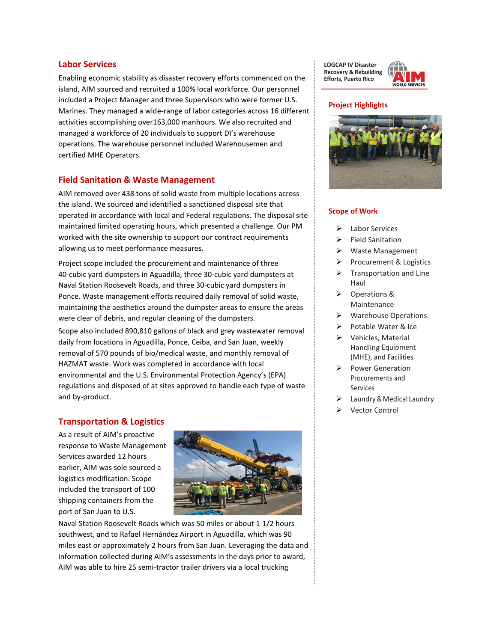## **Labor Services**

Enabling economic stability as disaster recovery efforts commenced on the island, AIM sourced and recruited a 100% local workforce. Our personnel included a Project Manager and three Supervisors who were former U.S. Marines. They managed a wide-range of labor categories across 16 different activities accomplishing over163,000 manhours. We also recruited and managed a workforce of 20 individuals to support DI's warehouse operations. The warehouse personnel included Warehousemen and certified MHE Operators.

## **Field Sanitation & Waste Management**

AIM removed over 438 tons of solid waste from multiple locations across the island. We sourced and identified a sanctioned disposal site that operated in accordance with local and Federal regulations. The disposal site maintained limited operating hours, which presented a challenge. Our PM worked with the site ownership to support our contract requirements allowing us to meet performance measures.

Project scope included the procurement and maintenance of three 40-cubic yard dumpsters in Aguadilla, three 30-cubic yard dumpsters at Naval Station Roosevelt Roads, and three 30-cubic yard dumpsters in Ponce. Waste management efforts required daily removal of solid waste, maintaining the aesthetics around the dumpster areas to ensure the areas were clear of debris, and regular cleaning of the dumpsters.

Scope also included 890,810 gallons of black and grey wastewater removal daily from locations in Aguadilla, Ponce, Ceiba, and San Juan, weekly removal of 570 pounds of bio/medical waste, and monthly removal of HAZMAT waste. Work was completed in accordance with local environmental and the U.S. Environmental Protection Agency's (EPA) regulations and disposed of at sites approved to handle each type of waste and by-product.

## **Transportation & Logistics**

As a result of AIM's proactive response to Waste Management Services awarded 12 hours earlier, AIM was sole sourced a logistics modification. Scope included the transport of 100 shipping containers from the port of San Juan to U.S.



Naval Station Roosevelt Roads which was 50 miles or about 1-1/2 hours southwest, and to Rafael Hernández Airport in Aguadilla, which was 90 miles east or approximately 2 hours from San Juan. Leveraging the data and information collected during AIM's assessments in the days prior to award, AIM was able to hire 25 semi-tractor trailer drivers via a local trucking

**LOGCAP IV Disaster Recovery & Rebuilding Efforts, Puerto Rico**



#### **Project Highlights**



#### **Scope of Work**

- Labor Services
- Field Sanitation
- Waste Management
- $\triangleright$  Procurement & Logistics
- $\triangleright$  Transportation and Line Haul
- Operations & Maintenance
- Warehouse Operations
- Potable Water & Ice
- $\triangleright$  Vehicles, Material Handling Equipment (MHE), and Facilities
- $\triangleright$  Power Generation Procurements and Services
- $\triangleright$  Laundry & Medical Laundry
- Vector Control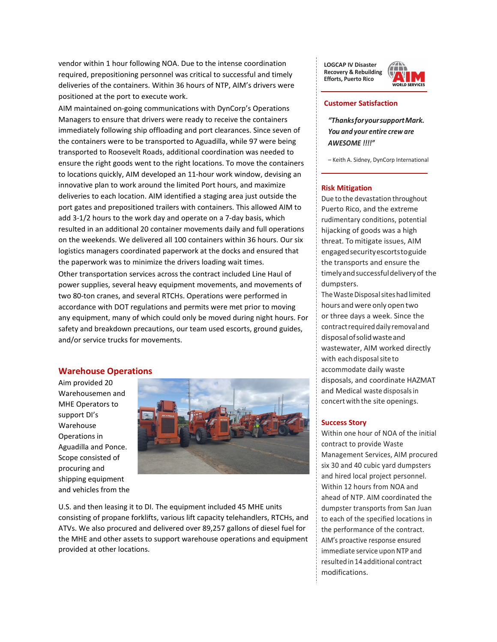vendor within 1 hour following NOA. Due to the intense coordination required, prepositioning personnel was critical to successful and timely deliveries of the containers. Within 36 hours of NTP, AIM's drivers were positioned at the port to execute work.

AIM maintained on-going communications with DynCorp's Operations Managers to ensure that drivers were ready to receive the containers immediately following ship offloading and port clearances. Since seven of the containers were to be transported to Aguadilla, while 97 were being transported to Roosevelt Roads, additional coordination was needed to ensure the right goods went to the right locations. To move the containers to locations quickly, AIM developed an 11-hour work window, devising an innovative plan to work around the limited Port hours, and maximize deliveries to each location. AIM identified a staging area just outside the port gates and prepositioned trailers with containers. This allowed AIM to add 3-1/2 hours to the work day and operate on a 7-day basis, which resulted in an additional 20 container movements daily and full operations on the weekends. We delivered all 100 containers within 36 hours. Our six logistics managers coordinated paperwork at the docks and ensured that the paperwork was to minimize the drivers loading wait times.

Other transportation services across the contract included Line Haul of power supplies, several heavy equipment movements, and movements of two 80-ton cranes, and several RTCHs. Operations were performed in accordance with DOT regulations and permits were met prior to moving any equipment, many of which could only be moved during night hours. For safety and breakdown precautions, our team used escorts, ground guides, and/or service trucks for movements.

#### **Warehouse Operations**

Aim provided 20 Warehousemen and MHE Operators to support DI's Warehouse Operations in Aguadilla and Ponce. Scope consisted of procuring and shipping equipment and vehicles from the



U.S. and then leasing it to DI. The equipment included 45 MHE units consisting of propane forklifts, various lift capacity telehandlers, RTCHs, and ATVs. We also procured and delivered over 89,257 gallons of diesel fuel for the MHE and other assets to support warehouse operations and equipment provided at other locations.

**LOGCAP IV Disaster Recovery & Rebuilding Efforts, Puerto Rico**



#### **Customer Satisfaction**

*"ThanksforyoursupportMark. You and your entire crew are AWESOME !!!!"*

– Keith A. Sidney, DynCorp International

#### **Risk Mitigation**

Due to the devastation throughout Puerto Rico, and the extreme rudimentary conditions, potential hijacking of goods was a high threat. To mitigate issues, AIM engagedsecurityescortstoguide the transports and ensure the timelyandsuccessfuldeliveryof the dumpsters.

The Waste Disposal sites had limited hours and were only open two or three days a week. Since the contract required daily removal and disposalofsolidwasteand wastewater, AIM worked directly with each disposalsite to accommodate daily waste disposals, and coordinate HAZMAT and Medical waste disposalsin concert with the site openings.

#### **Success Story**

Within one hour of NOA of the initial contract to provide Waste Management Services, AIM procured six 30 and 40 cubic yard dumpsters and hired local project personnel. Within 12 hours from NOA and ahead of NTP. AIM coordinated the dumpster transports from San Juan to each of the specified locations in the performance of the contract. AIM's proactive response ensured immediate service upon NTP and resultedin 14 additional contract modifications.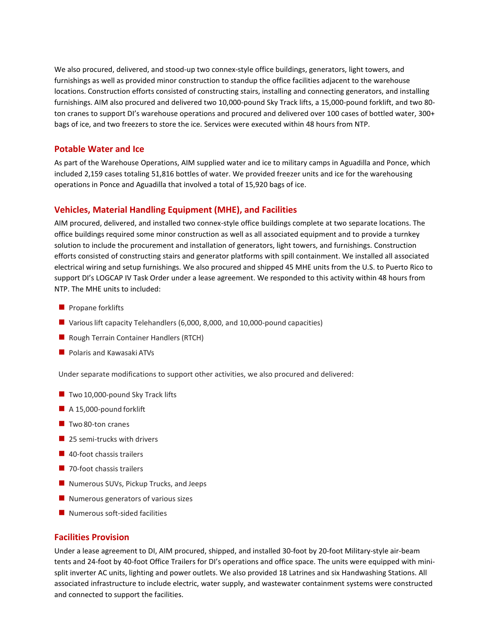We also procured, delivered, and stood-up two connex-style office buildings, generators, light towers, and furnishings as well as provided minor construction to standup the office facilities adjacent to the warehouse locations. Construction efforts consisted of constructing stairs, installing and connecting generators, and installing furnishings. AIM also procured and delivered two 10,000-pound Sky Track lifts, a 15,000-pound forklift, and two 80 ton cranes to support DI's warehouse operations and procured and delivered over 100 cases of bottled water, 300+ bags of ice, and two freezers to store the ice. Services were executed within 48 hours from NTP.

## **Potable Water and Ice**

As part of the Warehouse Operations, AIM supplied water and ice to military camps in Aguadilla and Ponce, which included 2,159 cases totaling 51,816 bottles of water. We provided freezer units and ice for the warehousing operations in Ponce and Aguadilla that involved a total of 15,920 bags of ice.

## **Vehicles, Material Handling Equipment (MHE), and Facilities**

AIM procured, delivered, and installed two connex-style office buildings complete at two separate locations. The office buildings required some minor construction as well as all associated equipment and to provide a turnkey solution to include the procurement and installation of generators, light towers, and furnishings. Construction efforts consisted of constructing stairs and generator platforms with spill containment. We installed all associated electrical wiring and setup furnishings. We also procured and shipped 45 MHE units from the U.S. to Puerto Rico to support DI's LOGCAP IV Task Order under a lease agreement. We responded to this activity within 48 hours from NTP. The MHE units to included:

- $\blacksquare$  Propane forklifts
- Various lift capacity Telehandlers (6,000, 8,000, and 10,000-pound capacities)
- Rough Terrain Container Handlers (RTCH)
- **Polaris and Kawasaki ATVs**

Under separate modifications to support other activities, we also procured and delivered:

- $\blacksquare$  Two 10,000-pound Sky Track lifts
- A 15,000-pound forklift
- $\blacksquare$  Two 80-ton cranes
- 25 semi-trucks with drivers
- 40-foot chassis trailers
- 70-foot chassis trailers
- Numerous SUVs, Pickup Trucks, and Jeeps
- $\blacksquare$  Numerous generators of various sizes
- Numerous soft-sided facilities

## **Facilities Provision**

Under a lease agreement to DI, AIM procured, shipped, and installed 30-foot by 20-foot Military-style air-beam tents and 24-foot by 40-foot Office Trailers for DI's operations and office space. The units were equipped with minisplit inverter AC units, lighting and power outlets. We also provided 18 Latrines and six Handwashing Stations. All associated infrastructure to include electric, water supply, and wastewater containment systems were constructed and connected to support the facilities.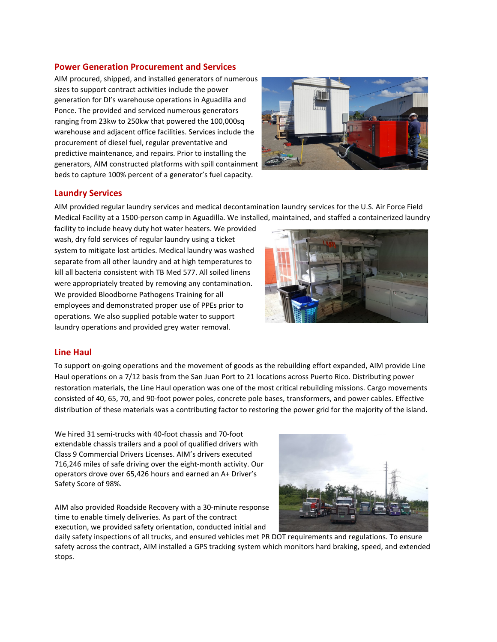## **Power Generation Procurement and Services**

AIM procured, shipped, and installed generators of numerous sizes to support contract activities include the power generation for DI's warehouse operations in Aguadilla and Ponce. The provided and serviced numerous generators ranging from 23kw to 250kw that powered the 100,000sq warehouse and adjacent office facilities. Services include the procurement of diesel fuel, regular preventative and predictive maintenance, and repairs. Prior to installing the generators, AIM constructed platforms with spill containment beds to capture 100% percent of a generator's fuel capacity.



## **Laundry Services**

AIM provided regular laundry services and medical decontamination laundry services for the U.S. Air Force Field Medical Facility at a 1500-person camp in Aguadilla. We installed, maintained, and staffed a containerized laundry

facility to include heavy duty hot water heaters. We provided wash, dry fold services of regular laundry using a ticket system to mitigate lost articles. Medical laundry was washed separate from all other laundry and at high temperatures to kill all bacteria consistent with TB Med 577. All soiled linens were appropriately treated by removing any contamination. We provided Bloodborne Pathogens Training for all employees and demonstrated proper use of PPEs prior to operations. We also supplied potable water to support laundry operations and provided grey water removal.



## **Line Haul**

To support on-going operations and the movement of goods as the rebuilding effort expanded, AIM provide Line Haul operations on a 7/12 basis from the San Juan Port to 21 locations across Puerto Rico. Distributing power restoration materials, the Line Haul operation was one of the most critical rebuilding missions. Cargo movements consisted of 40, 65, 70, and 90-foot power poles, concrete pole bases, transformers, and power cables. Effective distribution of these materials was a contributing factor to restoring the power grid for the majority of the island.

We hired 31 semi-trucks with 40-foot chassis and 70-foot extendable chassis trailers and a pool of qualified drivers with Class 9 Commercial Drivers Licenses. AIM's drivers executed 716,246 miles of safe driving over the eight-month activity. Our operators drove over 65,426 hours and earned an A+ Driver's Safety Score of 98%.

AIM also provided Roadside Recovery with a 30-minute response time to enable timely deliveries. As part of the contract execution, we provided safety orientation, conducted initial and



daily safety inspections of all trucks, and ensured vehicles met PR DOT requirements and regulations. To ensure safety across the contract, AIM installed a GPS tracking system which monitors hard braking, speed, and extended stops.